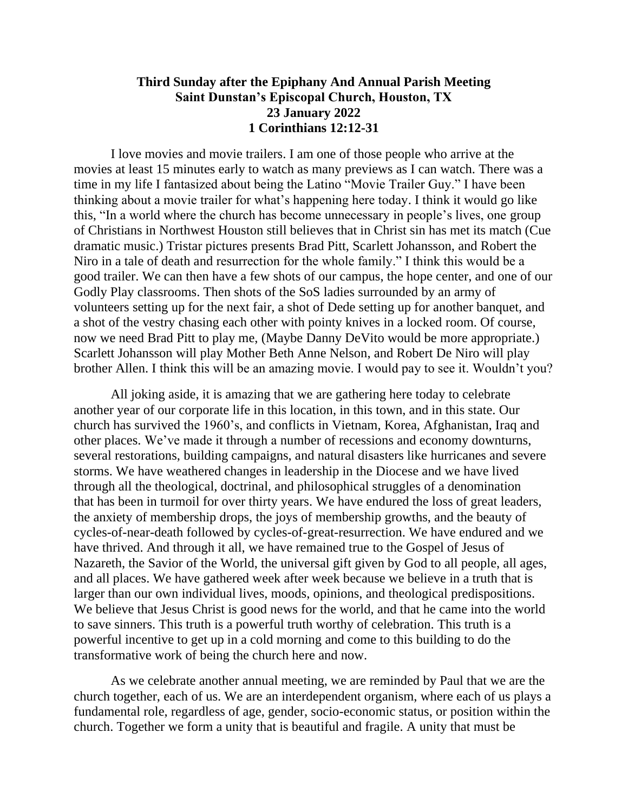## **Third Sunday after the Epiphany And Annual Parish Meeting Saint Dunstan's Episcopal Church, Houston, TX 23 January 2022 1 Corinthians 12:12-31**

I love movies and movie trailers. I am one of those people who arrive at the movies at least 15 minutes early to watch as many previews as I can watch. There was a time in my life I fantasized about being the Latino "Movie Trailer Guy." I have been thinking about a movie trailer for what's happening here today. I think it would go like this, "In a world where the church has become unnecessary in people's lives, one group of Christians in Northwest Houston still believes that in Christ sin has met its match (Cue dramatic music.) Tristar pictures presents Brad Pitt, Scarlett Johansson, and Robert the Niro in a tale of death and resurrection for the whole family." I think this would be a good trailer. We can then have a few shots of our campus, the hope center, and one of our Godly Play classrooms. Then shots of the SoS ladies surrounded by an army of volunteers setting up for the next fair, a shot of Dede setting up for another banquet, and a shot of the vestry chasing each other with pointy knives in a locked room. Of course, now we need Brad Pitt to play me, (Maybe Danny DeVito would be more appropriate.) Scarlett Johansson will play Mother Beth Anne Nelson, and Robert De Niro will play brother Allen. I think this will be an amazing movie. I would pay to see it. Wouldn't you?

All joking aside, it is amazing that we are gathering here today to celebrate another year of our corporate life in this location, in this town, and in this state. Our church has survived the 1960's, and conflicts in Vietnam, Korea, Afghanistan, Iraq and other places. We've made it through a number of recessions and economy downturns, several restorations, building campaigns, and natural disasters like hurricanes and severe storms. We have weathered changes in leadership in the Diocese and we have lived through all the theological, doctrinal, and philosophical struggles of a denomination that has been in turmoil for over thirty years. We have endured the loss of great leaders, the anxiety of membership drops, the joys of membership growths, and the beauty of cycles-of-near-death followed by cycles-of-great-resurrection. We have endured and we have thrived. And through it all, we have remained true to the Gospel of Jesus of Nazareth, the Savior of the World, the universal gift given by God to all people, all ages, and all places. We have gathered week after week because we believe in a truth that is larger than our own individual lives, moods, opinions, and theological predispositions. We believe that Jesus Christ is good news for the world, and that he came into the world to save sinners. This truth is a powerful truth worthy of celebration. This truth is a powerful incentive to get up in a cold morning and come to this building to do the transformative work of being the church here and now.

As we celebrate another annual meeting, we are reminded by Paul that we are the church together, each of us. We are an interdependent organism, where each of us plays a fundamental role, regardless of age, gender, socio-economic status, or position within the church. Together we form a unity that is beautiful and fragile. A unity that must be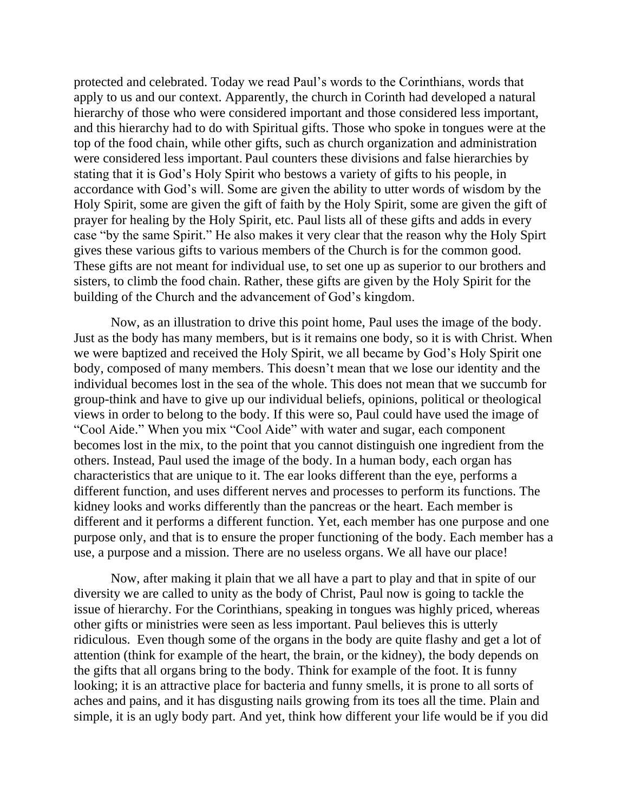protected and celebrated. Today we read Paul's words to the Corinthians, words that apply to us and our context. Apparently, the church in Corinth had developed a natural hierarchy of those who were considered important and those considered less important, and this hierarchy had to do with Spiritual gifts. Those who spoke in tongues were at the top of the food chain, while other gifts, such as church organization and administration were considered less important. Paul counters these divisions and false hierarchies by stating that it is God's Holy Spirit who bestows a variety of gifts to his people, in accordance with God's will. Some are given the ability to utter words of wisdom by the Holy Spirit, some are given the gift of faith by the Holy Spirit, some are given the gift of prayer for healing by the Holy Spirit, etc. Paul lists all of these gifts and adds in every case "by the same Spirit." He also makes it very clear that the reason why the Holy Spirt gives these various gifts to various members of the Church is for the common good. These gifts are not meant for individual use, to set one up as superior to our brothers and sisters, to climb the food chain. Rather, these gifts are given by the Holy Spirit for the building of the Church and the advancement of God's kingdom.

Now, as an illustration to drive this point home, Paul uses the image of the body. Just as the body has many members, but is it remains one body, so it is with Christ. When we were baptized and received the Holy Spirit, we all became by God's Holy Spirit one body, composed of many members. This doesn't mean that we lose our identity and the individual becomes lost in the sea of the whole. This does not mean that we succumb for group-think and have to give up our individual beliefs, opinions, political or theological views in order to belong to the body. If this were so, Paul could have used the image of "Cool Aide." When you mix "Cool Aide" with water and sugar, each component becomes lost in the mix, to the point that you cannot distinguish one ingredient from the others. Instead, Paul used the image of the body. In a human body, each organ has characteristics that are unique to it. The ear looks different than the eye, performs a different function, and uses different nerves and processes to perform its functions. The kidney looks and works differently than the pancreas or the heart. Each member is different and it performs a different function. Yet, each member has one purpose and one purpose only, and that is to ensure the proper functioning of the body. Each member has a use, a purpose and a mission. There are no useless organs. We all have our place!

Now, after making it plain that we all have a part to play and that in spite of our diversity we are called to unity as the body of Christ, Paul now is going to tackle the issue of hierarchy. For the Corinthians, speaking in tongues was highly priced, whereas other gifts or ministries were seen as less important. Paul believes this is utterly ridiculous. Even though some of the organs in the body are quite flashy and get a lot of attention (think for example of the heart, the brain, or the kidney), the body depends on the gifts that all organs bring to the body. Think for example of the foot. It is funny looking; it is an attractive place for bacteria and funny smells, it is prone to all sorts of aches and pains, and it has disgusting nails growing from its toes all the time. Plain and simple, it is an ugly body part. And yet, think how different your life would be if you did